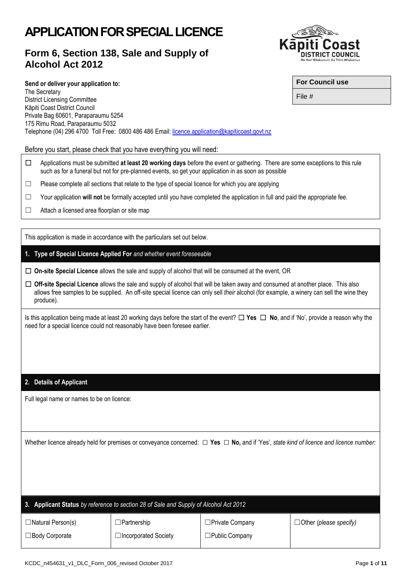# **APPLICATION FOR SPECIAL LICENCE**

## **Form 6, Section 138, Sale and Supply of Alcohol Act 2012**



Before you start, please check that you have everything you will need:

- ☐ Applications must be submitted **at least 20 working days** before the event or gathering. There are some exceptions to this rule such as for a funeral but not for pre-planned events, so get your application in as soon as possible
- $\Box$  Please complete all sections that relate to the type of special licence for which you are applying

Telephone (04) 296 4700 Toll Free: 0800 486 486 Email: [licence.application@kapiticoast.govt.nz](mailto:licence.application@kapiticoast.govt.nz)

- ☐ Your application **will not** be formally accepted until you have completed the application in full and paid the appropriate fee.
- ☐ Attach a licensed area floorplan or site map

The Secretary

This application is made in accordance with the particulars set out below.

- **1. Type of Special Licence Applied For** *and whether event foreseeable*
- ☐ **On-site Special Licence** allows the sale and supply of alcohol that will be consumed at the event, OR
- ☐ **Off-site Special Licence** allows the sale and supply of alcohol that will be taken away and consumed at another place. This also allows free samples to be supplied. An off-site special licence can only sell *their* alcohol (for example, a winery can sell the wine they produce).

Is this application being made at least 20 working days before the start of the event? ☐ **Yes** ☐ **No**, and if 'No', provide a reason why the need for a special licence could not reasonably have been foresee earlier.

#### **2. Details of Applicant**

Full legal name or names to be on licence:

Whether licence already held for premises or conveyance concerned: **□ Yes □ No,** and if 'Yes', *state kind of licence and licence number:*

| 3. Applicant Status by reference to section 28 of Sale and Supply of Alcohol Act 2012 |                             |                        |                               |  |  |
|---------------------------------------------------------------------------------------|-----------------------------|------------------------|-------------------------------|--|--|
| $\Box$ Natural Person(s)                                                              | $\Box$ Partnership          | $\Box$ Private Company | $\Box$ Other (please specify) |  |  |
| □ Body Corporate                                                                      | $\Box$ Incorporated Society | $\Box$ Public Company  |                               |  |  |

File #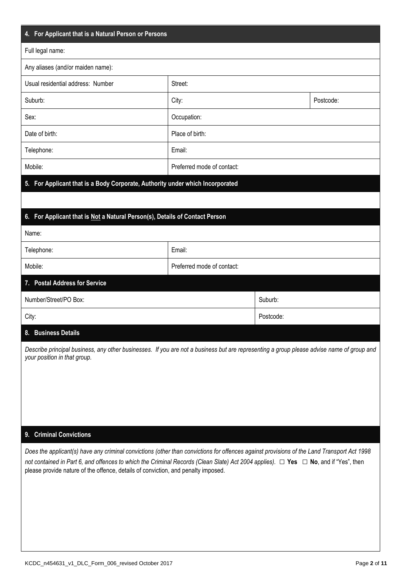| 4. For Applicant that is a Natural Person or Persons                                                                                                                                                                                                                                        |                            |           |           |  |
|---------------------------------------------------------------------------------------------------------------------------------------------------------------------------------------------------------------------------------------------------------------------------------------------|----------------------------|-----------|-----------|--|
| Full legal name:                                                                                                                                                                                                                                                                            |                            |           |           |  |
| Any aliases (and/or maiden name):                                                                                                                                                                                                                                                           |                            |           |           |  |
| Usual residential address: Number                                                                                                                                                                                                                                                           | Street:                    |           |           |  |
| Suburb:                                                                                                                                                                                                                                                                                     | City:                      |           | Postcode: |  |
| Sex:                                                                                                                                                                                                                                                                                        | Occupation:                |           |           |  |
| Date of birth:                                                                                                                                                                                                                                                                              | Place of birth:            |           |           |  |
| Telephone:                                                                                                                                                                                                                                                                                  | Email:                     |           |           |  |
| Mobile:                                                                                                                                                                                                                                                                                     | Preferred mode of contact: |           |           |  |
| 5. For Applicant that is a Body Corporate, Authority under which Incorporated                                                                                                                                                                                                               |                            |           |           |  |
|                                                                                                                                                                                                                                                                                             |                            |           |           |  |
| 6. For Applicant that is Not a Natural Person(s), Details of Contact Person                                                                                                                                                                                                                 |                            |           |           |  |
| Name:                                                                                                                                                                                                                                                                                       |                            |           |           |  |
| Telephone:                                                                                                                                                                                                                                                                                  | Email:                     |           |           |  |
| Mobile:                                                                                                                                                                                                                                                                                     | Preferred mode of contact: |           |           |  |
| <b>Postal Address for Service</b><br>7.                                                                                                                                                                                                                                                     |                            |           |           |  |
| Number/Street/PO Box:<br>Suburb:                                                                                                                                                                                                                                                            |                            |           |           |  |
| City:                                                                                                                                                                                                                                                                                       |                            | Postcode: |           |  |
| <b>Business Details</b><br>8.                                                                                                                                                                                                                                                               |                            |           |           |  |
| Describe principal business, any other businesses. If you are not a business but are representing a group please advise name of group and<br>your position in that group.                                                                                                                   |                            |           |           |  |
|                                                                                                                                                                                                                                                                                             |                            |           |           |  |
|                                                                                                                                                                                                                                                                                             |                            |           |           |  |
|                                                                                                                                                                                                                                                                                             |                            |           |           |  |
|                                                                                                                                                                                                                                                                                             |                            |           |           |  |
| 9. Criminal Convictions                                                                                                                                                                                                                                                                     |                            |           |           |  |
| Does the applicant(s) have any criminal convictions (other than convictions for offences against provisions of the Land Transport Act 1998<br>not contained in Part 6, and offences to which the Criminal Records (Clean Slate) Act 2004 applies). $\Box$ Yes $\Box$ No, and if "Yes", then |                            |           |           |  |
| please provide nature of the offence, details of conviction, and penalty imposed.                                                                                                                                                                                                           |                            |           |           |  |
|                                                                                                                                                                                                                                                                                             |                            |           |           |  |
|                                                                                                                                                                                                                                                                                             |                            |           |           |  |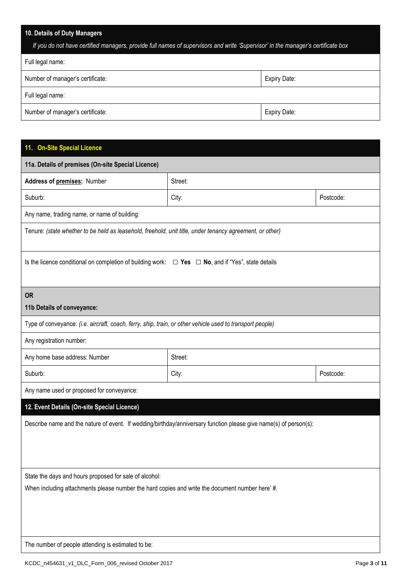### **10. Details of Duty Managers**

| If you do not have certified managers, provide full names of supervisors and write 'Supervisor' in the manager's certificate box |  |  |  |
|----------------------------------------------------------------------------------------------------------------------------------|--|--|--|
| Full legal name:                                                                                                                 |  |  |  |
| Number of manager's certificate:<br>Expiry Date:                                                                                 |  |  |  |
| Full legal name:                                                                                                                 |  |  |  |
| Number of manager's certificate:<br>Expiry Date:                                                                                 |  |  |  |

### **11. On-Site Special Licence**

| $\sim$ $\sim$ $\sim$ $\sim$ $\sim$                                                                                |         |           |  |  |
|-------------------------------------------------------------------------------------------------------------------|---------|-----------|--|--|
| 11a. Details of premises (On-site Special Licence)                                                                |         |           |  |  |
| Address of premises: Number                                                                                       | Street: |           |  |  |
| Suburb:                                                                                                           | City:   | Postcode: |  |  |
| Any name, trading name, or name of building:                                                                      |         |           |  |  |
| Tenure: (state whether to be held as leasehold, freehold, unit title, under tenancy agreement, or other)          |         |           |  |  |
| Is the licence conditional on completion of building work: $\Box$ Yes $\Box$ No, and if "Yes", state details      |         |           |  |  |
| <b>OR</b>                                                                                                         |         |           |  |  |
| 11b Details of conveyance:                                                                                        |         |           |  |  |
| Type of conveyance: (i.e. aircraft, coach, ferry, ship, train, or other vehicle used to transport people)         |         |           |  |  |
| Any registration number:                                                                                          |         |           |  |  |
| Any home base address: Number                                                                                     | Street: |           |  |  |
| Suburb:                                                                                                           | City:   | Postcode: |  |  |
| Any name used or proposed for conveyance:                                                                         |         |           |  |  |
| 12. Event Details (On-site Special Licence)                                                                       |         |           |  |  |
| Describe name and the nature of event. If wedding/birthday/anniversary function please give name(s) of person(s): |         |           |  |  |
| State the days and hours proposed for sale of alcohol:                                                            |         |           |  |  |
| When including attachments please number the hard copies and write the document number here' #.                   |         |           |  |  |
| The number of people attending is estimated to be:                                                                |         |           |  |  |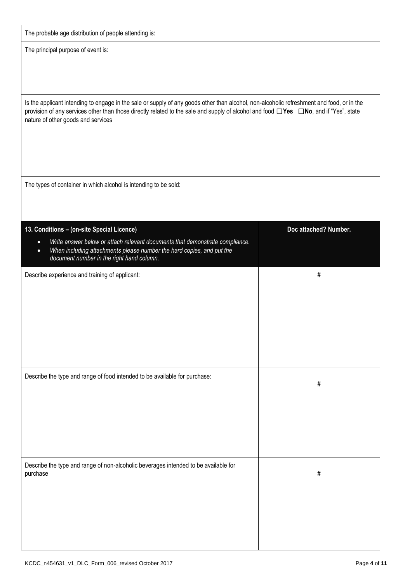| The probable age distribution of people attending is: |  |  |  |
|-------------------------------------------------------|--|--|--|
|                                                       |  |  |  |

The principal purpose of event is:

Is the applicant intending to engage in the sale or supply of any goods other than alcohol, non-alcoholic refreshment and food, or in the provision of any services other than those directly related to the sale and supply of alcohol and food ☐**Yes** ☐**No**, and if "Yes", state nature of other goods and services

The types of container in which alcohol is intending to be sold:

| 13. Conditions - (on-site Special Licence)                                                                                                                                                                                   | Doc attached? Number. |
|------------------------------------------------------------------------------------------------------------------------------------------------------------------------------------------------------------------------------|-----------------------|
| Write answer below or attach relevant documents that demonstrate compliance.<br>$\bullet$<br>When including attachments please number the hard copies, and put the<br>$\bullet$<br>document number in the right hand column. |                       |
| Describe experience and training of applicant:                                                                                                                                                                               | $\#$                  |
| Describe the type and range of food intended to be available for purchase:                                                                                                                                                   | $\#$                  |
| Describe the type and range of non-alcoholic beverages intended to be available for<br>purchase                                                                                                                              | $\#$                  |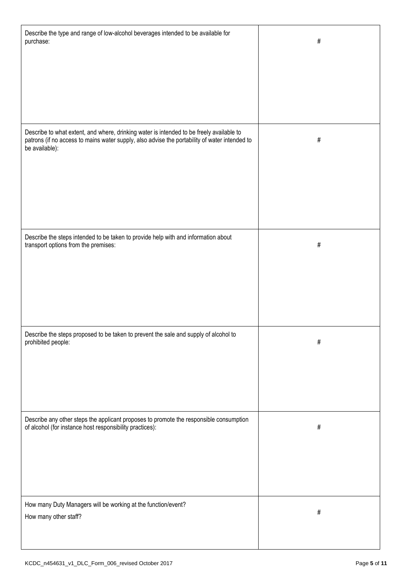| Describe the type and range of low-alcohol beverages intended to be available for<br>purchase:                                                     | #    |
|----------------------------------------------------------------------------------------------------------------------------------------------------|------|
| Describe to what extent, and where, drinking water is intended to be freely available to                                                           |      |
| patrons (if no access to mains water supply, also advise the portability of water intended to<br>be available):                                    | #    |
| Describe the steps intended to be taken to provide help with and information about<br>transport options from the premises:                         | #    |
| Describe the steps proposed to be taken to prevent the sale and supply of alcohol to<br>prohibited people:                                         | #    |
| Describe any other steps the applicant proposes to promote the responsible consumption<br>of alcohol (for instance host responsibility practices): | $\#$ |
| How many Duty Managers will be working at the function/event?<br>How many other staff?                                                             | $\#$ |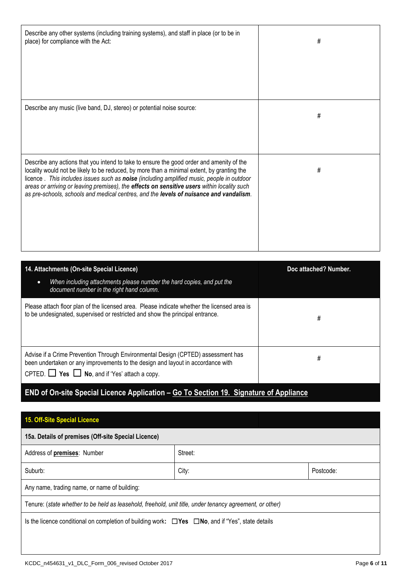| Describe any other systems (including training systems), and staff in place (or to be in<br>place) for compliance with the Act:                                                                                                                                                                                                                                                                                                                                              | # |
|------------------------------------------------------------------------------------------------------------------------------------------------------------------------------------------------------------------------------------------------------------------------------------------------------------------------------------------------------------------------------------------------------------------------------------------------------------------------------|---|
|                                                                                                                                                                                                                                                                                                                                                                                                                                                                              |   |
| Describe any music (live band, DJ, stereo) or potential noise source:                                                                                                                                                                                                                                                                                                                                                                                                        | # |
| Describe any actions that you intend to take to ensure the good order and amenity of the<br>locality would not be likely to be reduced, by more than a minimal extent, by granting the<br>licence. This includes issues such as noise (including amplified music, people in outdoor<br>areas or arriving or leaving premises), the effects on sensitive users within locality such<br>as pre-schools, schools and medical centres, and the levels of nuisance and vandalism. | # |
|                                                                                                                                                                                                                                                                                                                                                                                                                                                                              |   |

| 14. Attachments (On-site Special Licence)<br>When including attachments please number the hard copies, and put the<br>$\bullet$<br>document number in the right hand column.                                                    | Doc attached? Number. |
|---------------------------------------------------------------------------------------------------------------------------------------------------------------------------------------------------------------------------------|-----------------------|
| Please attach floor plan of the licensed area. Please indicate whether the licensed area is<br>to be undesignated, supervised or restricted and show the principal entrance.                                                    | #                     |
| Advise if a Crime Prevention Through Environmental Design (CPTED) assessment has<br>been undertaken or any improvements to the design and layout in accordance with<br>CPTED. $\Box$ Yes $\Box$ No, and if 'Yes' attach a copy. | #                     |

# **END of On-site Special Licence Application – Go To Section 19. Signature of Appliance**

| 15. Off-Site Special Licence                                                                                 |         |           |  |  |
|--------------------------------------------------------------------------------------------------------------|---------|-----------|--|--|
| 15a. Details of premises (Off-site Special Licence)                                                          |         |           |  |  |
| Address of premises: Number                                                                                  | Street: |           |  |  |
| Suburb:                                                                                                      | City:   | Postcode: |  |  |
| Any name, trading name, or name of building:                                                                 |         |           |  |  |
| Tenure: (state whether to be held as leasehold, freehold, unit title, under tenancy agreement, or other)     |         |           |  |  |
| Is the licence conditional on completion of building work: $\Box$ Yes $\Box$ No, and if "Yes", state details |         |           |  |  |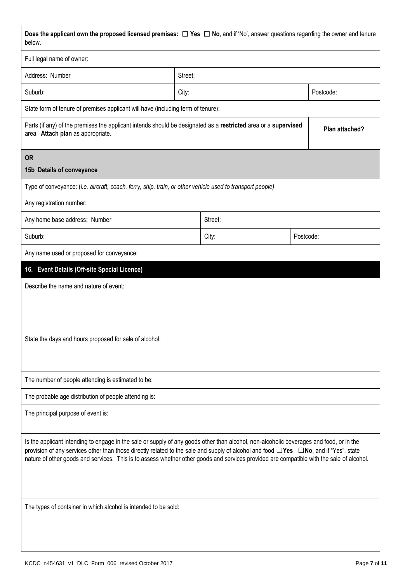| Does the applicant own the proposed licensed premises: $\Box$ Yes $\Box$ No, and if 'No', answer questions regarding the owner and tenure<br>below.                                                                                                                                                                                                                                                                                            |         |         |                |  |
|------------------------------------------------------------------------------------------------------------------------------------------------------------------------------------------------------------------------------------------------------------------------------------------------------------------------------------------------------------------------------------------------------------------------------------------------|---------|---------|----------------|--|
| Full legal name of owner:                                                                                                                                                                                                                                                                                                                                                                                                                      |         |         |                |  |
| Address: Number                                                                                                                                                                                                                                                                                                                                                                                                                                | Street: |         |                |  |
| Suburb:                                                                                                                                                                                                                                                                                                                                                                                                                                        | City:   |         | Postcode:      |  |
| State form of tenure of premises applicant will have (including term of tenure):                                                                                                                                                                                                                                                                                                                                                               |         |         |                |  |
| Parts (if any) of the premises the applicant intends should be designated as a restricted area or a supervised<br>area. Attach plan as appropriate.                                                                                                                                                                                                                                                                                            |         |         | Plan attached? |  |
| <b>OR</b>                                                                                                                                                                                                                                                                                                                                                                                                                                      |         |         |                |  |
| 15b Details of conveyance                                                                                                                                                                                                                                                                                                                                                                                                                      |         |         |                |  |
| Type of conveyance: (i.e. aircraft, coach, ferry, ship, train, or other vehicle used to transport people)                                                                                                                                                                                                                                                                                                                                      |         |         |                |  |
| Any registration number:                                                                                                                                                                                                                                                                                                                                                                                                                       |         |         |                |  |
| Any home base address: Number                                                                                                                                                                                                                                                                                                                                                                                                                  |         | Street: |                |  |
| Suburb:                                                                                                                                                                                                                                                                                                                                                                                                                                        |         | City:   | Postcode:      |  |
| Any name used or proposed for conveyance:                                                                                                                                                                                                                                                                                                                                                                                                      |         |         |                |  |
| 16. Event Details (Off-site Special Licence)                                                                                                                                                                                                                                                                                                                                                                                                   |         |         |                |  |
| Describe the name and nature of event:                                                                                                                                                                                                                                                                                                                                                                                                         |         |         |                |  |
| State the days and hours proposed for sale of alcohol:                                                                                                                                                                                                                                                                                                                                                                                         |         |         |                |  |
| The number of people attending is estimated to be:                                                                                                                                                                                                                                                                                                                                                                                             |         |         |                |  |
| The probable age distribution of people attending is:                                                                                                                                                                                                                                                                                                                                                                                          |         |         |                |  |
| The principal purpose of event is:                                                                                                                                                                                                                                                                                                                                                                                                             |         |         |                |  |
| Is the applicant intending to engage in the sale or supply of any goods other than alcohol, non-alcoholic beverages and food, or in the<br>provision of any services other than those directly related to the sale and supply of alcohol and food $\square Y$ es $\square$ No, and if "Yes", state<br>nature of other goods and services. This is to assess whether other goods and services provided are compatible with the sale of alcohol. |         |         |                |  |
| The types of container in which alcohol is intended to be sold:                                                                                                                                                                                                                                                                                                                                                                                |         |         |                |  |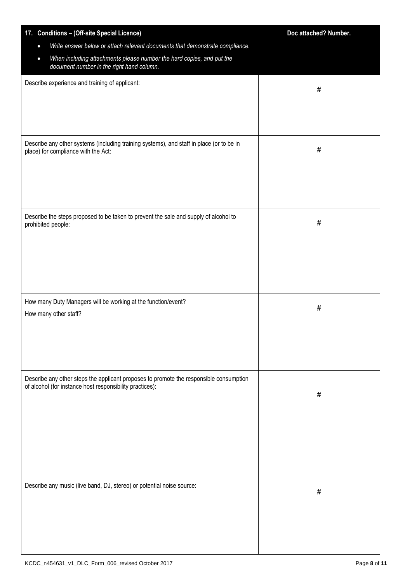| 17. Conditions - (Off-site Special Licence)                                                                                                        | Doc attached? Number. |
|----------------------------------------------------------------------------------------------------------------------------------------------------|-----------------------|
| Write answer below or attach relevant documents that demonstrate compliance.<br>$\bullet$                                                          |                       |
| When including attachments please number the hard copies, and put the<br>$\bullet$<br>document number in the right hand column.                    |                       |
| Describe experience and training of applicant:                                                                                                     | #                     |
|                                                                                                                                                    |                       |
|                                                                                                                                                    |                       |
|                                                                                                                                                    |                       |
| Describe any other systems (including training systems), and staff in place (or to be in<br>place) for compliance with the Act:                    | #                     |
|                                                                                                                                                    |                       |
| Describe the steps proposed to be taken to prevent the sale and supply of alcohol to<br>prohibited people:                                         | $\#$                  |
|                                                                                                                                                    |                       |
|                                                                                                                                                    |                       |
| How many Duty Managers will be working at the function/event?<br>How many other staff?                                                             | #                     |
|                                                                                                                                                    |                       |
|                                                                                                                                                    |                       |
| Describe any other steps the applicant proposes to promote the responsible consumption<br>of alcohol (for instance host responsibility practices): |                       |
|                                                                                                                                                    | #                     |
|                                                                                                                                                    |                       |
|                                                                                                                                                    |                       |
|                                                                                                                                                    |                       |
| Describe any music (live band, DJ, stereo) or potential noise source:                                                                              | $\#$                  |
|                                                                                                                                                    |                       |
|                                                                                                                                                    |                       |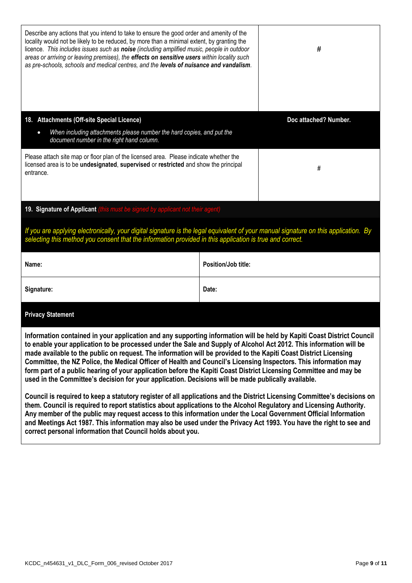| Describe any actions that you intend to take to ensure the good order and amenity of the<br>locality would not be likely to be reduced, by more than a minimal extent, by granting the<br>licence. This includes issues such as noise (including amplified music, people in outdoor<br>areas or arriving or leaving premises), the effects on sensitive users within locality such<br>as pre-schools, schools and medical centres, and the levels of nuisance and vandalism.                                                                                                                                                                                                                                                                                                                                                                                                                                                                                                                                                                                                            |                     | #                     |
|-----------------------------------------------------------------------------------------------------------------------------------------------------------------------------------------------------------------------------------------------------------------------------------------------------------------------------------------------------------------------------------------------------------------------------------------------------------------------------------------------------------------------------------------------------------------------------------------------------------------------------------------------------------------------------------------------------------------------------------------------------------------------------------------------------------------------------------------------------------------------------------------------------------------------------------------------------------------------------------------------------------------------------------------------------------------------------------------|---------------------|-----------------------|
| 18. Attachments (Off-site Special Licence)                                                                                                                                                                                                                                                                                                                                                                                                                                                                                                                                                                                                                                                                                                                                                                                                                                                                                                                                                                                                                                              |                     | Doc attached? Number. |
| When including attachments please number the hard copies, and put the<br>$\bullet$<br>document number in the right hand column.                                                                                                                                                                                                                                                                                                                                                                                                                                                                                                                                                                                                                                                                                                                                                                                                                                                                                                                                                         |                     |                       |
| Please attach site map or floor plan of the licensed area. Please indicate whether the<br>licensed area is to be undesignated, supervised or restricted and show the principal<br>entrance.                                                                                                                                                                                                                                                                                                                                                                                                                                                                                                                                                                                                                                                                                                                                                                                                                                                                                             |                     | #                     |
| 19. Signature of Applicant (this must be signed by applicant not their agent)                                                                                                                                                                                                                                                                                                                                                                                                                                                                                                                                                                                                                                                                                                                                                                                                                                                                                                                                                                                                           |                     |                       |
| If you are applying electronically, your digital signature is the legal equivalent of your manual signature on this application. By<br>selecting this method you consent that the information provided in this application is true and correct.                                                                                                                                                                                                                                                                                                                                                                                                                                                                                                                                                                                                                                                                                                                                                                                                                                         |                     |                       |
| Name:                                                                                                                                                                                                                                                                                                                                                                                                                                                                                                                                                                                                                                                                                                                                                                                                                                                                                                                                                                                                                                                                                   | Position/Job title: |                       |
| Signature:                                                                                                                                                                                                                                                                                                                                                                                                                                                                                                                                                                                                                                                                                                                                                                                                                                                                                                                                                                                                                                                                              | Date:               |                       |
| <b>Privacy Statement</b>                                                                                                                                                                                                                                                                                                                                                                                                                                                                                                                                                                                                                                                                                                                                                                                                                                                                                                                                                                                                                                                                |                     |                       |
| Information contained in your application and any supporting information will be held by Kapiti Coast District Council<br>to enable your application to be processed under the Sale and Supply of Alcohol Act 2012. This information will be<br>made available to the public on request. The information will be provided to the Kapiti Coast District Licensing<br>Committee, the NZ Police, the Medical Officer of Health and Council's Licensing Inspectors. This information may<br>form part of a public hearing of your application before the Kapiti Coast District Licensing Committee and may be<br>used in the Committee's decision for your application. Decisions will be made publically available.<br>Council is required to keep a statutory register of all applications and the District Licensing Committee's decisions on<br>them. Council is required to report statistics about applications to the Alcohol Regulatory and Licensing Authority.<br>Any member of the public may request access to this information under the Local Government Official Information |                     |                       |

**and Meetings Act 1987. This information may also be used under the Privacy Act 1993. You have the right to see and** 

**correct personal information that Council holds about you.**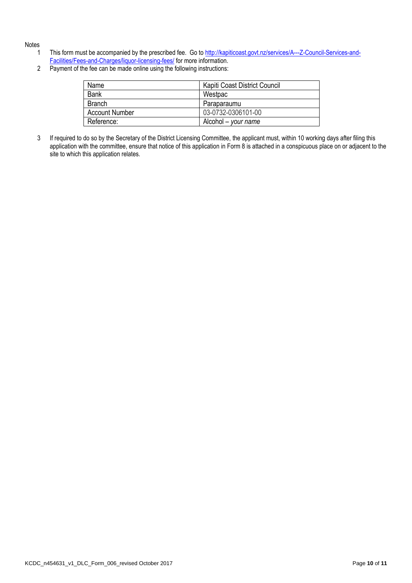#### **Notes**

- 1 This form must be accompanied by the prescribed fee. Go t[o http://kapiticoast.govt.nz/services/A---Z-Council-Services-and-](http://kapiticoast.govt.nz/services/A---Z-Council-Services-and-Facilities/Fees-and-Charges/liquor-licensing-fees/)[Facilities/Fees-and-Charges/liquor-licensing-fees/](http://kapiticoast.govt.nz/services/A---Z-Council-Services-and-Facilities/Fees-and-Charges/liquor-licensing-fees/) for more information.
- 2 Payment of the fee can be made online using the following instructions:

| Name                  | Kapiti Coast District Council |
|-----------------------|-------------------------------|
| <b>Bank</b>           | Westpac                       |
| <b>Branch</b>         | Paraparaumu                   |
| <b>Account Number</b> | 03-0732-0306101-00            |
| Reference:            | Alcohol $-$ your name         |

3 If required to do so by the Secretary of the District Licensing Committee, the applicant must, within 10 working days after filing this application with the committee, ensure that notice of this application in Form 8 is attached in a conspicuous place on or adjacent to the site to which this application relates.